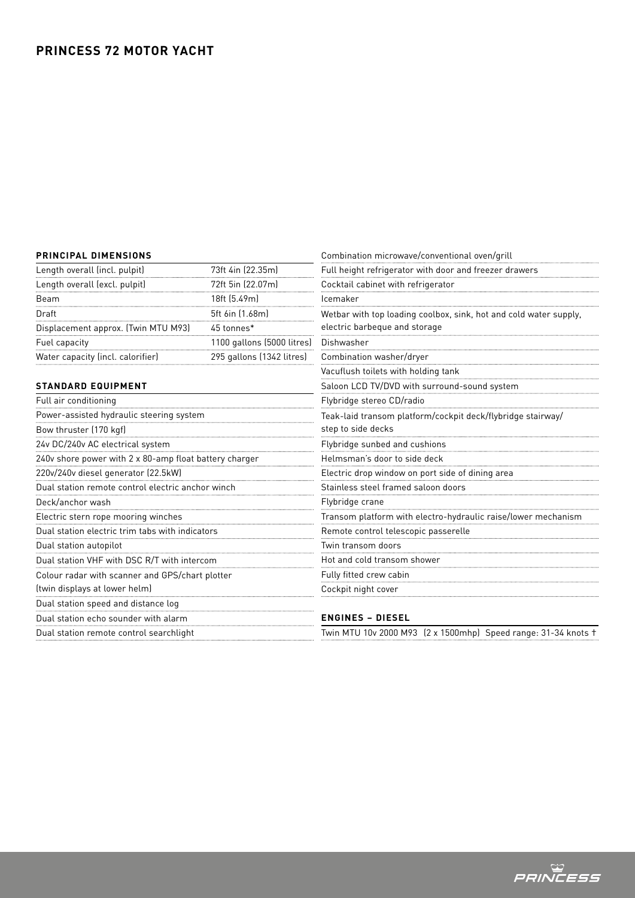# **PRINCIPAL DIMENSIONS**

| Length overall (incl. pulpit)                          | 73ft 4in (22.35m)          | Full height refrigerator with door and freezer drawers                            |
|--------------------------------------------------------|----------------------------|-----------------------------------------------------------------------------------|
| Length overall (excl. pulpit)                          | 72ft 5in (22.07m)          | Cocktail cabinet with refrigerator                                                |
| Beam                                                   | 18ft (5.49m)               | Icemaker                                                                          |
| Draft                                                  | 5ft 6in (1.68m)            | Wetbar with top loading coolbox, sink, hot and cold water supply,                 |
| Displacement approx. (Twin MTU M93)                    | 45 tonnes*                 | electric barbeque and storage                                                     |
| Fuel capacity                                          | 1100 gallons (5000 litres) | Dishwasher                                                                        |
| Water capacity (incl. calorifier)                      | 295 gallons (1342 litres)  | Combination washer/dryer                                                          |
|                                                        |                            | Vacuflush toilets with holding tank                                               |
| <b>STANDARD EQUIPMENT</b>                              |                            | Saloon LCD TV/DVD with surround-sound system                                      |
| Full air conditioning                                  |                            | Flybridge stereo CD/radio                                                         |
| Power-assisted hydraulic steering system               |                            | Teak-laid transom platform/cockpit deck/flybridge stairway/<br>step to side decks |
| Bow thruster (170 kgf)                                 |                            |                                                                                   |
| 24v DC/240v AC electrical system                       |                            | Flybridge sunbed and cushions                                                     |
| 240v shore power with 2 x 80-amp float battery charger |                            | Helmsman's door to side deck                                                      |
| 220v/240v diesel generator (22.5kW)                    |                            | Electric drop window on port side of dining area                                  |
| Dual station remote control electric anchor winch      |                            | Stainless steel framed saloon doors                                               |
| Deck/anchor wash                                       |                            | Flybridge crane                                                                   |
| Electric stern rope mooring winches                    |                            | Transom platform with electro-hydraulic raise/lower mechanism                     |
| Dual station electric trim tabs with indicators        |                            | Remote control telescopic passerelle                                              |
| Dual station autopilot                                 |                            | Twin transom doors                                                                |
| Dual station VHF with DSC R/T with intercom            |                            | Hot and cold transom shower                                                       |
| Colour radar with scanner and GPS/chart plotter        |                            | Fully fitted crew cabin                                                           |
| (twin displays at lower helm)                          |                            | Cockpit night cover                                                               |
| Dual station speed and distance log                    |                            |                                                                                   |
| Dual station echo sounder with alarm                   |                            | <b>ENGINES - DIESEL</b>                                                           |
| Dual station remote control searchlight                |                            | Twin MTU 10v 2000 M93 (2 x 1500mhp) Speed range: 31-34 knots +                    |

Combination microwave/conventional oven/grill

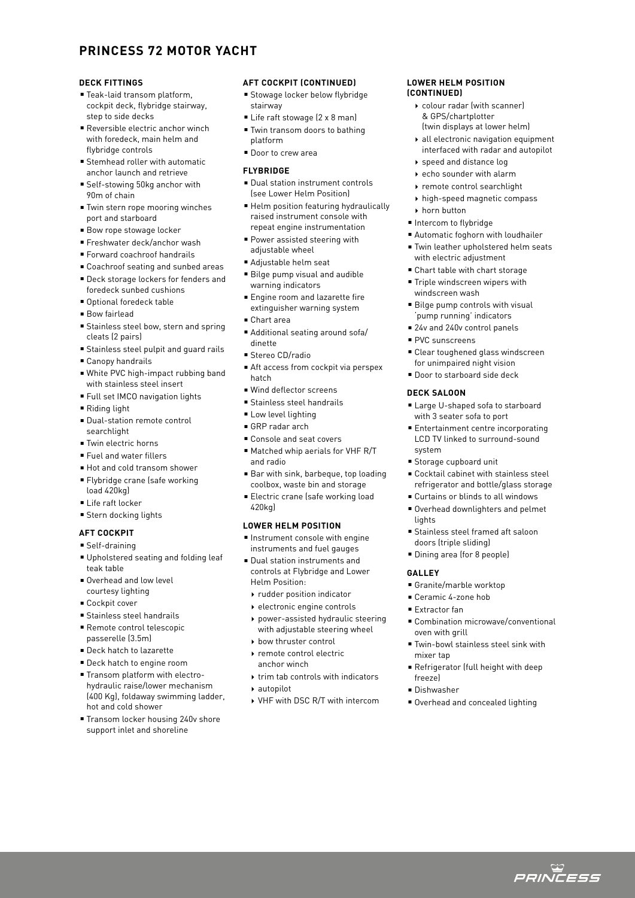# **DECK FITTINGS**

- Teak-laid transom platform, cockpit deck, flybridge stairway, step to side decks
- $\blacksquare$  Reversible electric anchor winch with foredeck, main helm and flybridge controls
- **Stemhead roller with automatic** anchor launch and retrieve
- Self-stowing 50kg anchor with 90m of chain
- Twin stern rope mooring winches port and starboard
- **Bow rope stowage locker**
- Freshwater deck/anchor wash
- $\blacksquare$  Forward coachroof handrails
- Coachroof seating and sunbed areas
- **Deck storage lockers for fenders and** foredeck sunbed cushions
- Optional foredeck table
- Bow fairlead
- **Exampless steel bow, stern and spring** cleats (2 pairs)
- **Stainless steel pulpit and guard rails**
- Canopy handrails
- White PVC high-impact rubbing band with stainless steel insert
- Full set IMCO navigation lights
- $\blacksquare$  Riding light
- **Dual-station remote control** searchlight
- **Twin electric horns**
- <sup>n</sup> Fuel and water fillers
- Hot and cold transom shower
- Flybridge crane (safe working load 420kg)
- Life raft locker
- **s** Stern docking lights

## **AFT COCKPIT**

- $Self-drainina$
- **Upholstered seating and folding leaf** teak table
- Overhead and low level courtesy lighting
- $Cock$ pit cover
- **s** Stainless steel handrails
- Remote control telescopic passerelle (3.5m)
- <sup>n</sup> Deck hatch to lazarette
- Deck hatch to engine room
- Transom platform with electrohydraulic raise/lower mechanism (400 Kg), foldaway swimming ladder, hot and cold shower
- Transom locker housing 240v shore support inlet and shoreline

# **AFT COCKPIT (CONTINUED)**

- **Stowage locker below flybridge** stairway
- $\blacksquare$  Life raft stowage (2 x 8 man)
- Twin transom doors to bathing platform
- Door to crew area

## **FLYBRIDGE**

- **Dual station instrument controls** (see Lower Helm Position)
- Helm position featuring hydraulically raised instrument console with repeat engine instrumentation
- **Power assisted steering with** adjustable wheel
- <sup>n</sup> Adjustable helm seat
- Bilge pump visual and audible warning indicators
- Engine room and lazarette fire extinguisher warning system
- Chart area
- Additional seating around sofa/ dinette
- Stereo CD/radio
- Aft access from cockpit via perspex hatch
- Wind deflector screens
- **Stainless steel handrails**
- $\blacksquare$  Low level lighting
- $\blacksquare$  GRP radar arch
- <sup>n</sup> Console and seat covers
- Matched whip aerials for VHF R/T and radio
- <sup>n</sup> Bar with sink, barbeque, top loading coolbox, waste bin and storage
- **Electric crane (safe working load** 420kg)

## **LOWER HELM POSITION**

- Instrument console with engine instruments and fuel gauges
- Dual station instruments and controls at Flybridge and Lower Helm Position:
- rudder position indicator
- $\blacktriangleright$  electronic engine controls
- power-assisted hydraulic steering with adjustable steering wheel
- $\rightarrow$  bow thruster control
- remote control electric anchor winch
- $\blacktriangleright$  trim tab controls with indicators
- autopilot
- VHF with DSC R/T with intercom

# **LOWER HELM POSITION (CONTINUED)**

- colour radar (with scanner) & GPS/chartplotter (twin displays at lower helm)
- all electronic navigation equipment
- interfaced with radar and autopilot speed and distance log
- echo sounder with alarm
- remote control searchlight
- high-speed magnetic compass
- ▶ horn button
- Intercom to flybridge
- Automatic foghorn with loudhailer
- Twin leather upholstered helm seats with electric adjustment
- Chart table with chart storage
- **Triple windscreen wipers with** windscreen wash
- **Bilge pump controls with visual** 'pump running' indicators
- 24v and 240v control panels
- $PVC$  sunscreans
- <sup>n</sup> Clear toughened glass windscreen for unimpaired night vision
- $\blacksquare$  Door to starboard side deck

# **DECK SALOON**

- Large U-shaped sofa to starboard with 3 seater sofa to port
- Entertainment centre incorporating LCD TV linked to surround-sound system
- **Storage cupboard unit**
- <sup>n</sup> Cocktail cabinet with stainless steel refrigerator and bottle/glass storage
- **Curtains or blinds to all windows**
- <sup>n</sup> Overhead downlighters and pelmet lights
- <sup>n</sup> Stainless steel framed aft saloon doors (triple sliding)

■ Combination microwave/conventional

■ Twin-bowl stainless steel sink with

Refrigerator (full height with deep

■ Overhead and concealed lighting

ت<br>*PRINCESS* 

Dining area (for 8 people)

■ Granite/marble worktop <sup>n</sup> Ceramic 4-zone hob <sup>n</sup> Extractor fan

oven with grill

mixer tap

freeze) <sup>n</sup> Dishwasher

**GALLEY**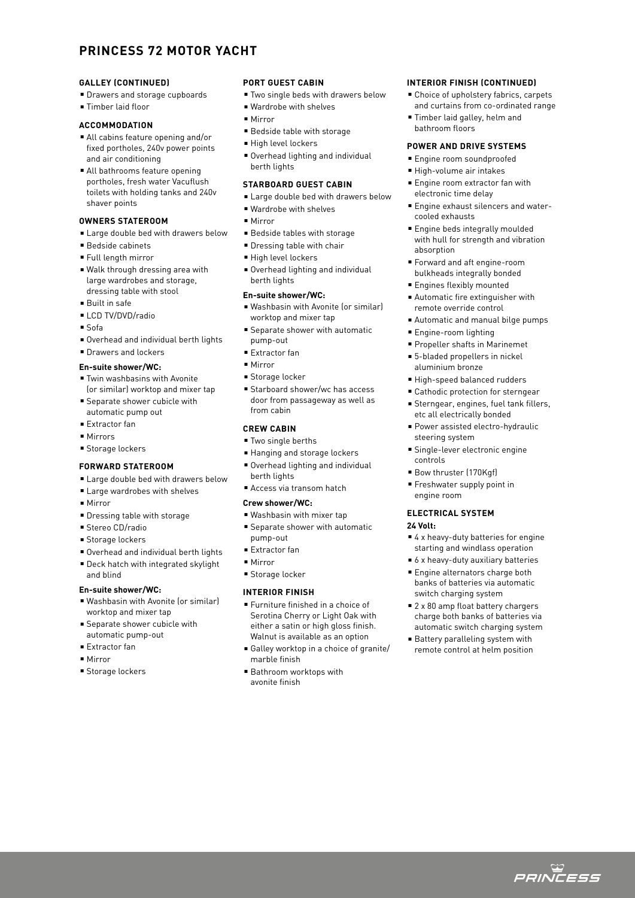#### **GALLEY (CONTINUED)**

- **Drawers and storage cupboards**
- Timber laid floor

#### **ACCOMMODATION**

- <sup>n</sup> All cabins feature opening and/or fixed portholes, 240v power points and air conditioning
- All bathrooms feature opening portholes, fresh water Vacuflush toilets with holding tanks and 240v shaver points

#### **OWNERS STATEROOM**

- **Example 3** Large double bed with drawers below
- Bedside cabinets
- Full length mirror
- Walk through dressing area with large wardrobes and storage, dressing table with stool
- $B$ uilt in safe
- LCD TV/DVD/radio
- $s$
- <sup>n</sup> Overhead and individual berth lights
- **Drawers and lockers**

#### **En-suite shower/WC:**

- $\blacksquare$  Twin washbasins with Avonite (or similar) worktop and mixer tap
- **Separate shower cubicle with** automatic pump out
- <sup>n</sup> Extractor fan
- <sup>n</sup> Mirrors
- Storage lockers

#### **FORWARD STATEROOM**

- **Example 2** Large double bed with drawers below
- **Example 2** Large wardrobes with shelves
- $Mirror$
- **Dressing table with storage**
- Stereo CD/radio
- Storage lockers
- <sup>n</sup> Overhead and individual berth lights
- Deck hatch with integrated skylight and blind

#### **En-suite shower/WC:**

- <sup>n</sup> Washbasin with Avonite (or similar) worktop and mixer tap
- **Separate shower cubicle with** automatic pump-out
- Extractor fan
- $Mirror$
- Storage lockers

# **PORT GUEST CABIN**

- Two single beds with drawers below
- Wardrobe with shelves
- <sup>n</sup> Mirror
- **Bedside table with storage**
- High level lockers
- Overhead lighting and individual berth lights

#### **STARBOARD GUEST CABIN**

- Large double bed with drawers below
- Wardrobe with shelves
- $N<sub>in</sub>$
- <sup>n</sup> Bedside tables with storage
- **Dressing table with chair**
- High level lockers
- Overhead lighting and individual berth lights

#### **En-suite shower/WC:**

- <sup>n</sup> Washbasin with Avonite (or similar) worktop and mixer tap
- **E** Separate shower with automatic pump-out
- Extractor fan
- $Mirror$
- Storage locker
- Starboard shower/wc has access door from passageway as well as from cabin

### **CREW CABIN**

- $\blacksquare$  Two single berths
- Hanging and storage lockers
- Overhead lighting and individual berth lights
- <sup>n</sup> Access via transom hatch

#### **Crew shower/WC:**

- Washbasin with mixer tap **Exercise Separate shower with automatic** pump-out
- Extractor fan
- <sup>n</sup> Mirror
- Storage locker

#### **INTERIOR FINISH**

- $\blacksquare$  Furniture finished in a choice of Serotina Cherry or Light Oak with either a satin or high gloss finish. Walnut is available as an option
- Galley worktop in a choice of granite/ marble finish
- Bathroom worktops with avonite finish

#### **INTERIOR FINISH (CONTINUED)**

- Choice of upholstery fabrics, carpets and curtains from co-ordinated range
- **Timber laid galley, helm and** bathroom floors

## **POWER AND DRIVE SYSTEMS**

- Engine room soundproofed
- <sup>n</sup> High-volume air intakes
- **Engine room extractor fan with** electronic time delay
- Engine exhaust silencers and watercooled exhausts
- **Engine beds integrally moulded** with hull for strength and vibration absorption
- <sup>n</sup> Forward and aft engine-room bulkheads integrally bonded
- **Engines flexibly mounted**
- <sup>n</sup> Automatic fire extinguisher with remote override control
- <sup>n</sup> Automatic and manual bilge pumps
- Engine-room lighting
- <sup>n</sup> Propeller shafts in Marinemet
- 5-bladed propellers in nickel aluminium bronze
- <sup>n</sup> High-speed balanced rudders
- Cathodic protection for sterngear
- **Externgear, engines, fuel tank fillers,** etc all electrically bonded
- <sup>n</sup> Power assisted electro-hydraulic steering system
- **E** Single-lever electronic engine controls
- Bow thruster (170Kgf)
- **Freshwater supply point in** engine room

## **ELECTRICAL SYSTEM**

- **24 Volt:**
- 4 x heavy-duty batteries for engine starting and windlass operation  $\bullet$  6 x heavy-duty auxiliary batteries

ت<br>*PRINCESS* 

■ Engine alternators charge both banks of batteries via automatic switch charging system ■ 2 x 80 amp float battery chargers charge both banks of batteries via automatic switch charging system ■ Battery paralleling system with remote control at helm position